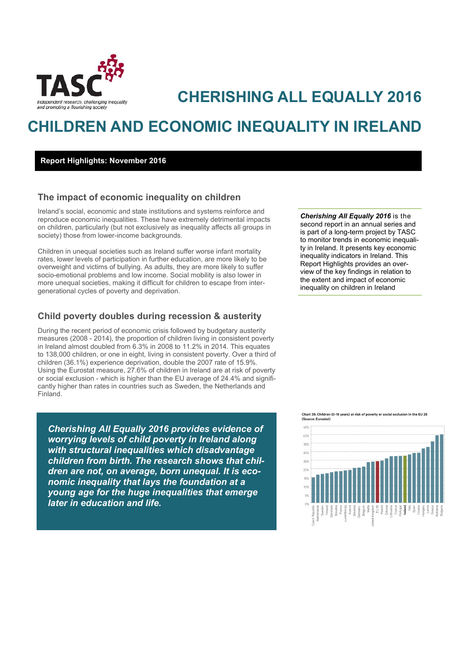

# *Independent research*, *challenging inequality*<br>and promoting a flourishing society

# **CHILDREN AND ECONOMIC INEQUALITY IN IRELAND**

## **Report Highlights: November 2016**

# **The impact of economic inequality on children**

Ireland's social, economic and state institutions and systems reinforce and reproduce economic inequalities. These have extremely detrimental impacts on children, particularly (but not exclusively as inequality affects all groups in society) those from lower-income backgrounds.

Children in unequal societies such as Ireland suffer worse infant mortality rates, lower levels of participation in further education, are more likely to be overweight and victims of bullying. As adults, they are more likely to suffer socio-emotional problems and low income. Social mobility is also lower in more unequal societies, making it difficult for children to escape from intergenerational cycles of poverty and deprivation.

# **Child poverty doubles during recession & austerity**

During the recent period of economic crisis followed by budgetary austerity measures (2008 - 2014), the proportion of children living in consistent poverty in Ireland almost doubled from 6.3% in 2008 to 11.2% in 2014. This equates to 138,000 children, or one in eight, living in consistent poverty. Over a third of children (36.1%) experience deprivation, double the 2007 rate of 15.9%. Using the Eurostat measure, 27.6% of children in Ireland are at risk of poverty or social exclusion - which is higher than the EU average of 24.4% and significantly higher than rates in countries such as Sweden, the Netherlands and Finland.

*Cherishing All Equally 2016 provides evidence of worrying levels of child poverty in Ireland along with structural inequalities which disadvantage children from birth. The research shows that children are not, on average, born unequal. It is economic inequality that lays the foundation at a young age for the huge inequalities that emerge later in education and life.*

*Cherishing All Equally 2016* is the second report in an annual series and is part of a long-term project by TASC to monitor trends in economic inequality in Ireland. It presents key economic inequality indicators in Ireland. This Report Highlights provides an overview of the key findings in relation to the extent and impact of economic inequality on children in Ireland

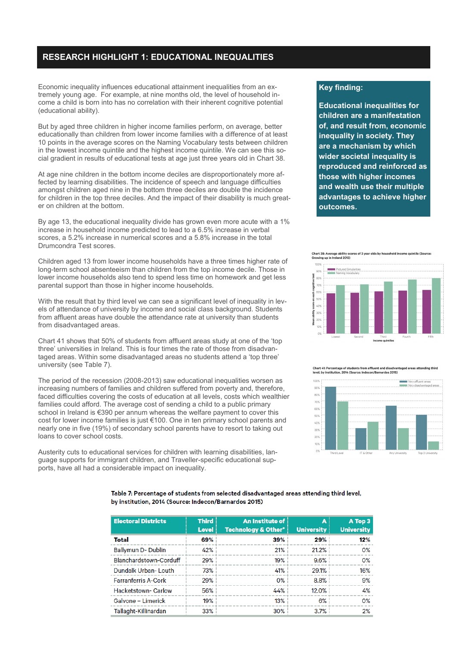# **RESEARCH HIGHLIGHT 1: EDUCATIONAL INEQUALITIES**

Economic inequality influences educational attainment inequalities from an extremely young age. For example, at nine months old, the level of household income a child is born into has no correlation with their inherent cognitive potential (educational ability).

But by aged three children in higher income families perform, on average, better educationally than children from lower income families with a difference of at least 10 points in the average scores on the Naming Vocabulary tests between children in the lowest income quintile and the highest income quintile. We can see this social gradient in results of educational tests at age just three years old in Chart 38.

At age nine children in the bottom income deciles are disproportionately more affected by learning disabilities. The incidence of speech and language difficulties amongst children aged nine in the bottom three deciles are double the incidence for children in the top three deciles. And the impact of their disability is much greater on children at the bottom.

By age 13, the educational inequality divide has grown even more acute with a 1% increase in household income predicted to lead to a 6.5% increase in verbal scores, a 5.2% increase in numerical scores and a 5.8% increase in the total Drumcondra Test scores.

Children aged 13 from lower income households have a three times higher rate of long-term school absenteeism than children from the top income decile. Those in lower income households also tend to spend less time on homework and get less parental support than those in higher income households.

With the result that by third level we can see a significant level of inequality in levels of attendance of university by income and social class background. Students from affluent areas have double the attendance rate at university than students from disadvantaged areas.

Chart 41 shows that 50% of students from affluent areas study at one of the 'top three' universities in Ireland. This is four times the rate of those from disadvantaged areas. Within some disadvantaged areas no students attend a 'top three' university (see Table 7).

The period of the recession (2008-2013) saw educational inequalities worsen as increasing numbers of families and children suffered from poverty and, therefore, faced difficulties covering the costs of education at all levels, costs which wealthier families could afford. The average cost of sending a child to a public primary school in Ireland is €390 per annum whereas the welfare payment to cover this cost for lower income families is just €100. One in ten primary school parents and nearly one in five (19%) of secondary school parents have to resort to taking out loans to cover school costs.

Austerity cuts to educational services for children with learning disabilities, language supports for immigrant children, and Traveller-specific educational supports, have all had a considerable impact on inequality.

# **Key finding:**

**Educational inequalities for children are a manifestation of, and result from, economic inequality in society. They are a mechanism by which wider societal inequality is reproduced and reinforced as those with higher incomes and wealth use their multiple advantages to achieve higher outcomes.** 

# Chart 38: Average ability scores of 3 year olds by household income quintile (Source:<br>Growing up in Ireland 2013)



Chart 41: Percentage of students from affluent and disadvantaged areas attending third<br>level, by institution, 2014 (Source: Indecon/Barnardos 2015)



Table 7: Percentage of students from selected disadvantaged areas attending third level. by institution, 2014 (Source: Indecon/Barnardos 2015)

| <b>Electoral Districts</b> | <b>Third</b><br><b>Level</b> | An Institute of<br><b>Technology &amp; Other*</b> | A<br><b>University</b> | A Top 3<br><b>University</b> |
|----------------------------|------------------------------|---------------------------------------------------|------------------------|------------------------------|
| Total                      | 69%                          | 39%                                               | 29%                    | 12%                          |
| Ballymun D-Dublin          | 42%                          | 21%                                               | 21.2%                  | $O\%$                        |
| Blanchardstown-Corduff     | 29%                          | 19%                                               | 9.6%                   | $O\%$                        |
| Dundalk Urban-Louth        | 73%                          | 41%                                               | 29.1%                  | 16%                          |
| <b>Farranferris A-Cork</b> | 29%                          | $O\%$                                             | 8.8%                   | 9%                           |
| <b>Hacketstown-Carlow</b>  | 56%                          | 44%                                               | 12.0%                  | 4%                           |
| Galvone - Limerick         | 19%                          | 13%                                               | 6%                     | $O\%$                        |
| Tallaght-Killinardan       | 33%                          | 30%                                               | 3.7%                   | 2%                           |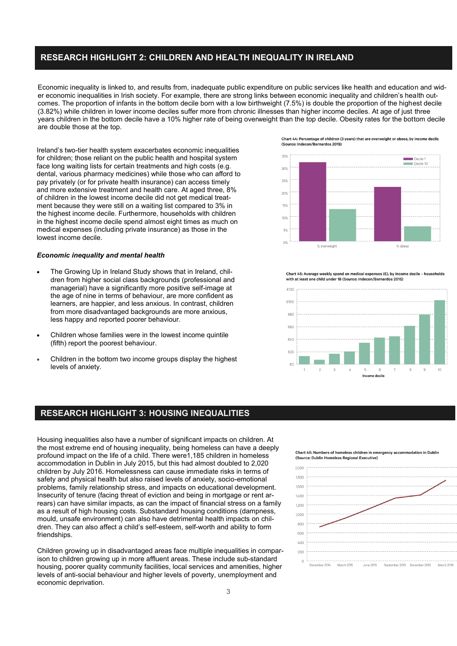# **RESEARCH HIGHLIGHT 2: CHILDREN AND HEALTH INEQUALITY IN IRELAND**

Economic inequality is linked to, and results from, inadequate public expenditure on public services like health and education and wider economic inequalities in Irish society. For example, there are strong links between economic inequality and children's health outcomes. The proportion of infants in the bottom decile born with a low birthweight (7.5%) is double the proportion of the highest decile (3.82%) while children in lower income deciles suffer more from chronic illnesses than higher income deciles. At age of just three years children in the bottom decile have a 10% higher rate of being overweight than the top decile. Obesity rates for the bottom decile are double those at the top.

Ireland's two-tier health system exacerbates economic inequalities for children; those reliant on the public health and hospital system face long waiting lists for certain treatments and high costs (e.g. dental, various pharmacy medicines) while those who can afford to pay privately (or for private health insurance) can access timely and more extensive treatment and health care. At aged three, 8% of children in the lowest income decile did not get medical treatment because they were still on a waiting list compared to 3% in the highest income decile. Furthermore, households with children in the highest income decile spend almost eight times as much on medical expenses (including private insurance) as those in the lowest income decile.

### *Economic inequality and mental health*

- The Growing Up in Ireland Study shows that in Ireland, children from higher social class backgrounds (professional and managerial) have a significantly more positive self-image at the age of nine in terms of behaviour, are more confident as learners, are happier, and less anxious. In contrast, children from more disadvantaged backgrounds are more anxious, less happy and reported poorer behaviour.
- Children whose families were in the lowest income quintile (fifth) report the poorest behaviour.
- Children in the bottom two income groups display the highest levels of anxiety.

Chart 44: Percentage of children (3 years) that are overweight or obese, by income decile (Source: Indecon/Barnardos 2015)



Chart 45: Average weekly spend on medical expenses (€), by income decile - h with at least one child under 18 (Source: Indecon/Barnardos 2015)



# **RESEARCH HIGHLIGHT 3: HOUSING INEQUALITIES**

Housing inequalities also have a number of significant impacts on children. At the most extreme end of housing inequality, being homeless can have a deeply profound impact on the life of a child. There were1,185 children in homeless accommodation in Dublin in July 2015, but this had almost doubled to 2,020 children by July 2016. Homelessness can cause immediate risks in terms of safety and physical health but also raised levels of anxiety, socio-emotional problems, family relationship stress, and impacts on educational development. Insecurity of tenure (facing threat of eviction and being in mortgage or rent arrears) can have similar impacts, as can the impact of financial stress on a family as a result of high housing costs. Substandard housing conditions (dampness, mould, unsafe environment) can also have detrimental health impacts on children. They can also affect a child's self-esteem, self-worth and ability to form friendships.

Children growing up in disadvantaged areas face multiple inequalities in comparison to children growing up in more affluent areas. These include sub-standard housing, poorer quality community facilities, local services and amenities, higher levels of anti-social behaviour and higher levels of poverty, unemployment and economic deprivation.